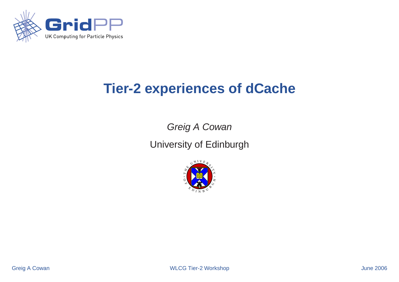

## **Tier-2 experiences of dCache**

Greig A Cowan

University of Edinburgh

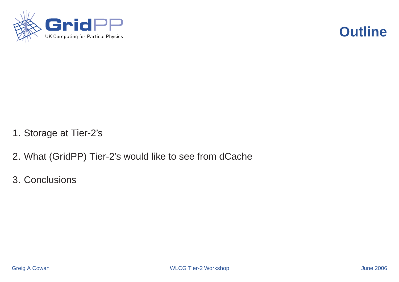



- 1. Storage at Tier-2's
- 2. What (GridPP) Tier-2's would like to see from dCache
- 3. Conclusions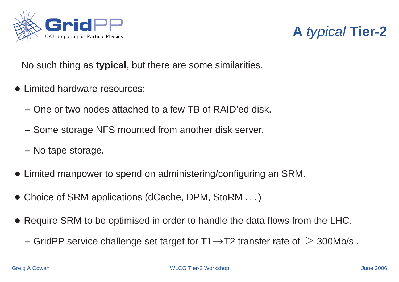



No such thing as **typical**, but there are some similarities.

- Limited hardware resources:
	- **–** One or two nodes attached to a few TB of RAID'ed disk.
	- **–** Some storage NFS mounted from another disk server.
	- **–** No tape storage.
- Limited manpower to spend on administering/configuring an SRM.
- Choice of SRM applications (dCache, DPM, StoRM ...)
- Require SRM to be optimised in order to handle the data flows from the LHC.
	- **–** GridPP service challenge set target for  $T1 \rightarrow T2$  transfer rate of  $\geq 300$ Mb/s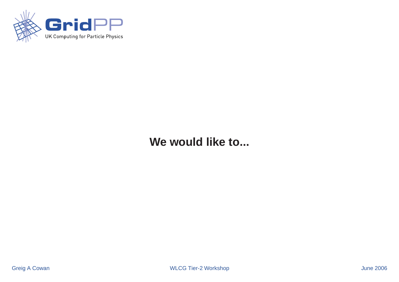

### **We would like to...**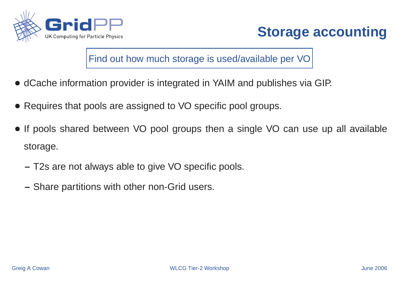



Find out how much storage is used/available per VO

- dCache information provider is integrated in YAIM and publishes via GIP.
- Requires that pools are assigned to VO specific pool groups.
- If pools shared between VO pool groups then a single VO can use up all available storage.
	- **–** T2s are not always able to give VO specific pools.
	- **–** Share partitions with other non-Grid users.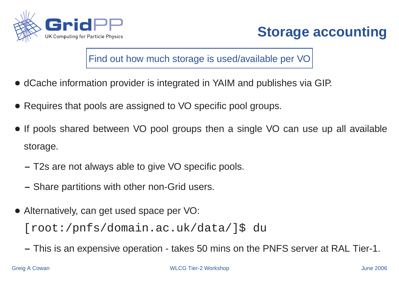



Find out how much storage is used/available per VO

- dCache information provider is integrated in YAIM and publishes via GIP.
- Requires that pools are assigned to VO specific pool groups.
- If pools shared between VO pool groups then <sup>a</sup> single VO can use up all available storage.
	- **–** T2s are not always able to give VO specific pools.
	- **–** Share partitions with other non-Grid users.
- Alternatively, can get used space per VO: [root:/pnfs/domain.ac.uk/data/]\$ du
	- **–** This is an expensive operation takes 50 mins on the PNFS server at RAL Tier-1.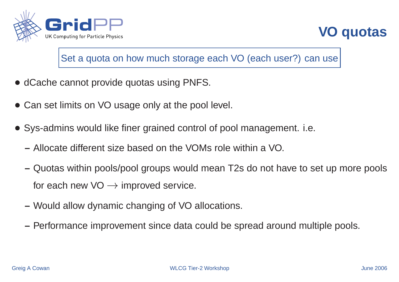



#### Set a quota on how much storage each VO (each user?) can use

- dCache cannot provide quotas using PNFS.
- Can set limits on VO usage only at the pool level.
- Sys-admins would like finer grained control of pool management. i.e.
	- **–** Allocate different size based on the VOMs role within a VO.
	- **–** Quotas within pools/pool groups would mean T2s do not have to set up more pools for each new  $VO \rightarrow$  improved service.
	- **–** Would allow dynamic changing of VO allocations.
	- **–** Performance improvement since data could be spread around multiple pools.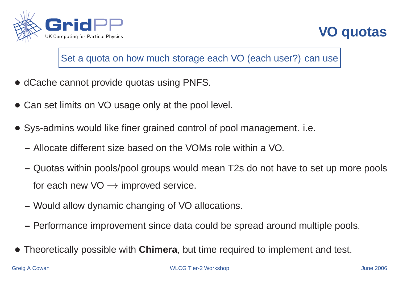



#### Set a quota on how much storage each VO (each user?) can use

- dCache cannot provide quotas using PNFS.
- Can set limits on VO usage only at the pool level.
- Sys-admins would like finer grained control of pool management. i.e.
	- **–** Allocate different size based on the VOMs role within a VO.
	- **–** Quotas within pools/pool groups would mean T2s do not have to set up more pools for each new  $VO \rightarrow$  improved service.
	- **–** Would allow dynamic changing of VO allocations.
	- **–** Performance improvement since data could be spread around multiple pools.
- Theoretically possible with **Chimera**, but time required to implement and test.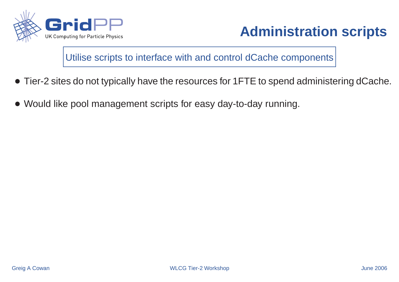

Utilise scripts to interface with and control dCache components

- Tier-2 sites do not typically have the resources for 1FTE to spend administering dCache.
- Would like pool management scripts for easy day-to-day running.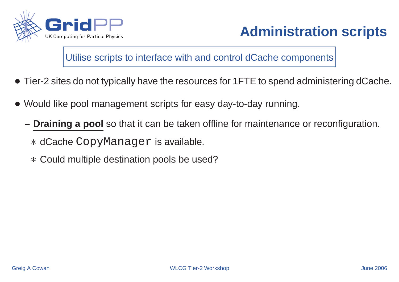

Utilise scripts to interface with and control dCache components

- Tier-2 sites do not typically have the resources for 1FTE to spend administering dCache.
- Would like pool management scripts for easy day-to-day running.
	- **– Draining <sup>a</sup> pool** so that it can be taken offline for maintenance or reconfiguration.

dCache CopyManager is available.

Could multiple destination pools be used?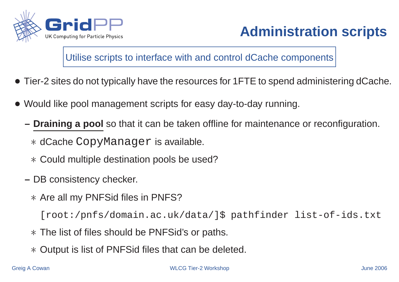

Utilise scripts to interface with and control dCache components

- Tier-2 sites do not typically have the resources for 1FTE to spend administering dCache.
- Would like pool management scripts for easy day-to-day running.
	- **– Draining <sup>a</sup> pool** so that it can be taken offline for maintenance or reconfiguration.

dCache CopyManager is available.

Could multiple destination pools be used?

- **–** DB consistency checker.
	- Are all my PNFSid files in PNFS?

[root:/pnfs/domain.ac.uk/data/]\$ pathfinder list-of-ids.txt

- The list of files should be PNFSid's or paths.
- Output is list of PNFSid files that can be deleted.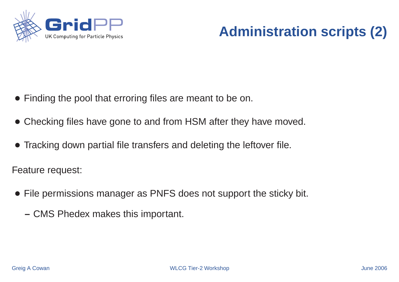

# **Administration scripts (2)**

- Finding the pool that erroring files are meant to be on.
- Checking files have gone to and from HSM after they have moved.
- Tracking down partial file transfers and deleting the leftover file.

Feature request:

- File permissions manager as PNFS does not support the sticky bit.
	- **–** CMS Phedex makes this important.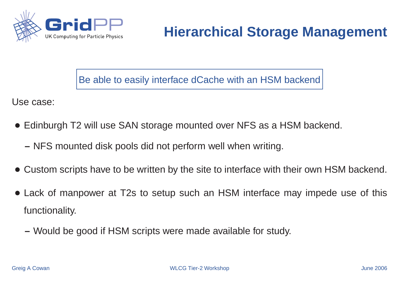

## **Hierarchical Storage Management**

Be able to easily interface dCache with an HSM backend

Use case:

- Edinburgh T2 will use SAN storage mounted over NFS as <sup>a</sup> HSM backend.
	- **–** NFS mounted disk pools did not perform well when writing.
- Custom scripts have to be written by the site to interface with their own HSM backend.
- Lack of manpower at T2s to setup such an HSM interface may impede use of this functionality.
	- **–** Would be good if HSM scripts were made available for study.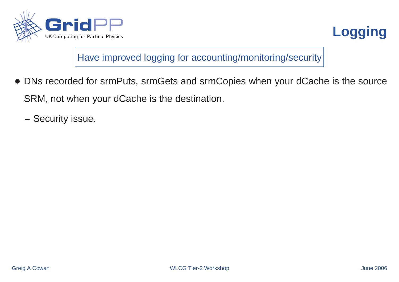



Have improved logging for accounting/monitoring/security

- DNs recorded for srmPuts, srmGets and srmCopies when your dCache is the source SRM, not when your dCache is the destination.
	- **–** Security issue.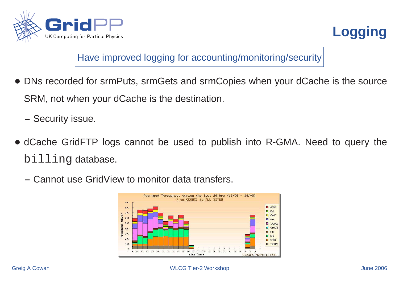



Have improved logging for accounting/monitoring/security

- DNs recorded for srmPuts, srmGets and srmCopies when your dCache is the source SRM, not when your dCache is the destination.
	- **–** Security issue.
- dCache GridFTP logs cannot be used to publish into R-GMA. Need to query the billing database.
	- **–** Cannot use GridView to monitor data transfers.

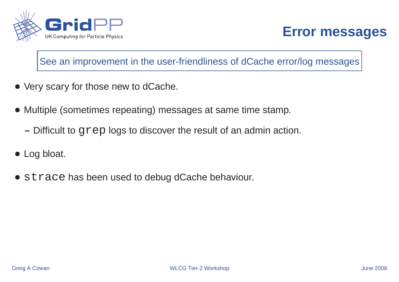



#### See an improvement in the user-friendliness of dCache error/log messages

- Very scary for those new to dCache.
- Multiple (sometimes repeating) messages at same time stamp.
	- **–** Difficult to grep logs to discover the result of an admin action.
- Log bloat.
- strace has been used to debug dCache behaviour.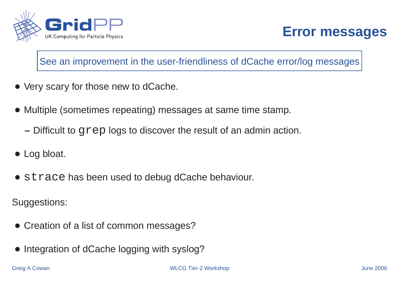



#### See an improvement in the user-friendliness of dCache error/log messages

- Very scary for those new to dCache.
- Multiple (sometimes repeating) messages at same time stamp.
	- **–** Difficult to grep logs to discover the result of an admin action.
- Log bloat.
- strace has been used to debug dCache behaviour.

Suggestions:

- Creation of a list of common messages?
- Integration of dCache logging with syslog?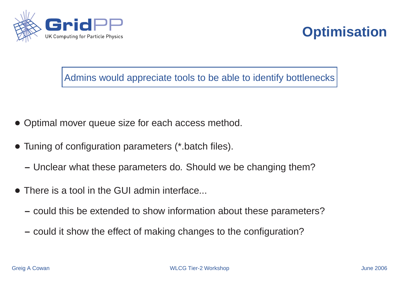



Admins would appreciate tools to be able to identify bottlenecks

- Optimal mover queue size for each access method.
- Tuning of configuration parameters (\*.batch files).
	- **–** Unclear what these parameters do. Should we be changing them?
- There is a tool in the GUI admin interface...
	- **–** could this be extended to show information about these parameters?
	- **–** could it show the effect of making changes to the configuration?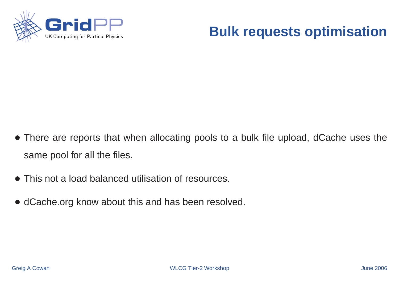

### **Bulk requests optimisation**

- There are reports that when allocating pools to <sup>a</sup> bulk file upload, dCache uses the same pool for all the files.
- This not a load balanced utilisation of resources.
- dCache.org know about this and has been resolved.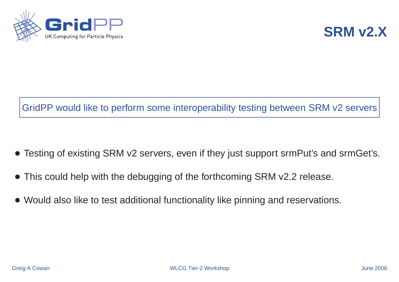



### GridPP would like to perform some interoperability testing between SRM v2 servers

- Testing of existing SRM v2 servers, even if they just support srmPut's and srmGet's.
- This could help with the debugging of the forthcoming SRM v2.2 release.
- Would also like to test additional functionality like pinning and reservations.